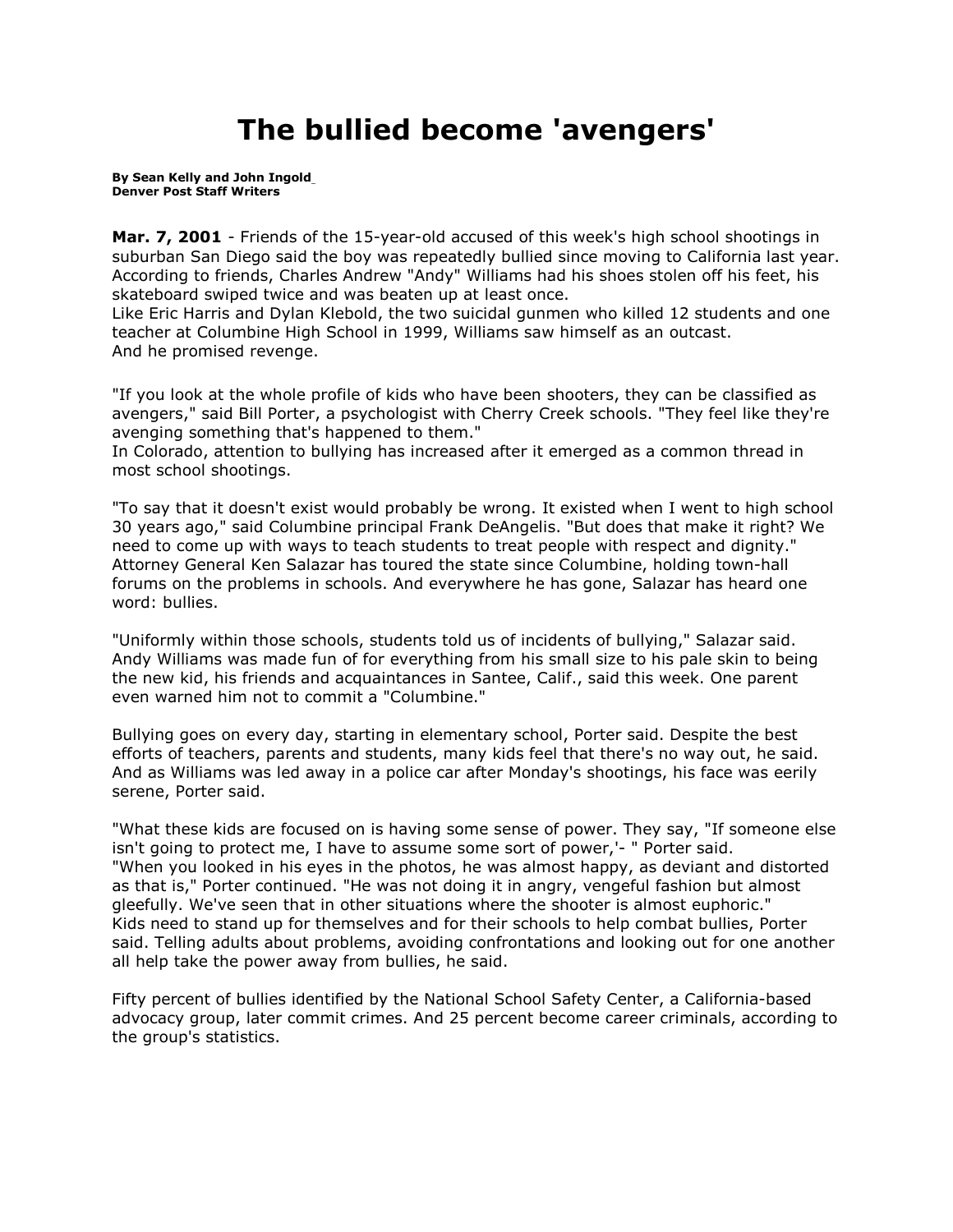## **The bullied become 'avengers'**

**By [Sean Kelly and John Ingold](mailto:newsroom@denverpost.com) Denver Post Staff Writers**

**Mar. 7, 2001** - Friends of the 15-year-old accused of this week's high school shootings in suburban San Diego said the boy was repeatedly bullied since moving to California last year. According to friends, Charles Andrew "Andy" Williams had his shoes stolen off his feet, his skateboard swiped twice and was beaten up at least once.

Like Eric Harris and Dylan Klebold, the two suicidal gunmen who killed 12 students and one teacher at Columbine High School in 1999, Williams saw himself as an outcast. And he promised revenge.

"If you look at the whole profile of kids who have been shooters, they can be classified as avengers," said Bill Porter, a psychologist with Cherry Creek schools. "They feel like they're avenging something that's happened to them."

In Colorado, attention to bullying has increased after it emerged as a common thread in most school shootings.

"To say that it doesn't exist would probably be wrong. It existed when I went to high school 30 years ago," said Columbine principal Frank DeAngelis. "But does that make it right? We need to come up with ways to teach students to treat people with respect and dignity." Attorney General Ken Salazar has toured the state since Columbine, holding town-hall forums on the problems in schools. And everywhere he has gone, Salazar has heard one word: bullies.

"Uniformly within those schools, students told us of incidents of bullying," Salazar said. Andy Williams was made fun of for everything from his small size to his pale skin to being the new kid, his friends and acquaintances in Santee, Calif., said this week. One parent even warned him not to commit a "Columbine."

Bullying goes on every day, starting in elementary school, Porter said. Despite the best efforts of teachers, parents and students, many kids feel that there's no way out, he said. And as Williams was led away in a police car after Monday's shootings, his face was eerily serene, Porter said.

"What these kids are focused on is having some sense of power. They say, "If someone else isn't going to protect me, I have to assume some sort of power,'- " Porter said. "When you looked in his eyes in the photos, he was almost happy, as deviant and distorted as that is," Porter continued. "He was not doing it in angry, vengeful fashion but almost gleefully. We've seen that in other situations where the shooter is almost euphoric." Kids need to stand up for themselves and for their schools to help combat bullies, Porter said. Telling adults about problems, avoiding confrontations and looking out for one another all help take the power away from bullies, he said.

Fifty percent of bullies identified by the National School Safety Center, a California-based advocacy group, later commit crimes. And 25 percent become career criminals, according to the group's statistics.